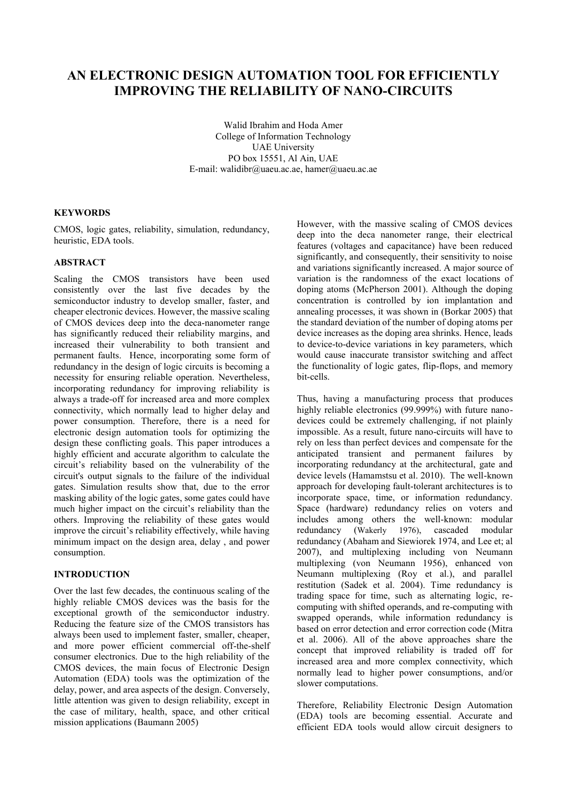# **AN ELECTRONIC DESIGN AUTOMATION TOOL FOR EFFICIENTLY IMPROVING THE RELIABILITY OF NANO-CIRCUITS**

Walid Ibrahim and Hoda Amer College of Information Technology UAE University PO box 15551, Al Ain, UAE E-mail: [walidibr@uaeu.ac.ae,](mailto:walidibr@uaeu.ac.ae) [hamer@uaeu.ac.ae](mailto:hamer@uaeu.ac.ae)

## **KEYWORDS**

CMOS, logic gates, reliability, simulation, redundancy, heuristic, EDA tools.

## **ABSTRACT**

Scaling the CMOS transistors have been used consistently over the last five decades by the semiconductor industry to develop smaller, faster, and cheaper electronic devices. However, the massive scaling of CMOS devices deep into the deca-nanometer range has significantly reduced their reliability margins, and increased their vulnerability to both transient and permanent faults. Hence, incorporating some form of redundancy in the design of logic circuits is becoming a necessity for ensuring reliable operation. Nevertheless, incorporating redundancy for improving reliability is always a trade-off for increased area and more complex connectivity, which normally lead to higher delay and power consumption. Therefore, there is a need for electronic design automation tools for optimizing the design these conflicting goals. This paper introduces a highly efficient and accurate algorithm to calculate the circuit's reliability based on the vulnerability of the circuit's output signals to the failure of the individual gates. Simulation results show that, due to the error masking ability of the logic gates, some gates could have much higher impact on the circuit's reliability than the others. Improving the reliability of these gates would improve the circuit's reliability effectively, while having minimum impact on the design area, delay , and power consumption.

## **INTRODUCTION**

Over the last few decades, the continuous scaling of the highly reliable CMOS devices was the basis for the exceptional growth of the semiconductor industry. Reducing the feature size of the CMOS transistors has always been used to implement faster, smaller, cheaper, and more power efficient commercial off-the-shelf consumer electronics. Due to the high reliability of the CMOS devices, the main focus of Electronic Design Automation (EDA) tools was the optimization of the delay, power, and area aspects of the design. Conversely, little attention was given to design reliability, except in the case of military, health, space, and other critical mission applications (Baumann 2005)

However, with the massive scaling of CMOS devices deep into the deca nanometer range, their electrical features (voltages and capacitance) have been reduced significantly, and consequently, their sensitivity to noise and variations significantly increased. A major source of variation is the randomness of the exact locations of doping atoms (McPherson 2001). Although the doping concentration is controlled by ion implantation and annealing processes, it was shown in (Borkar 2005) that the standard deviation of the number of doping atoms per device increases as the doping area shrinks. Hence, leads to device-to-device variations in key parameters, which would cause inaccurate transistor switching and affect the functionality of logic gates, flip-flops, and memory bit-cells.

Thus, having a manufacturing process that produces highly reliable electronics (99.999%) with future nanodevices could be extremely challenging, if not plainly impossible. As a result, future nano-circuits will have to rely on less than perfect devices and compensate for the anticipated transient and permanent failures by incorporating redundancy at the architectural, gate and device levels (Hamamstsu et al. 2010). The well-known approach for developing fault-tolerant architectures is to incorporate space, time, or information redundancy. Space (hardware) redundancy relies on voters and includes among others the well-known: modular redundancy (Wakerly 1976), cascaded modular redundancy (Abaham and Siewiorek 1974, and Lee et; al 2007), and multiplexing including von Neumann multiplexing (von Neumann 1956), enhanced von Neumann multiplexing (Roy et al.), and parallel restitution (Sadek et al. 2004). Time redundancy is trading space for time, such as alternating logic, recomputing with shifted operands, and re-computing with swapped operands, while information redundancy is based on error detection and error correction code (Mitra et al. 2006). All of the above approaches share the concept that improved reliability is traded off for increased area and more complex connectivity, which normally lead to higher power consumptions, and/or slower computations.

Therefore, Reliability Electronic Design Automation (EDA) tools are becoming essential. Accurate and efficient EDA tools would allow circuit designers to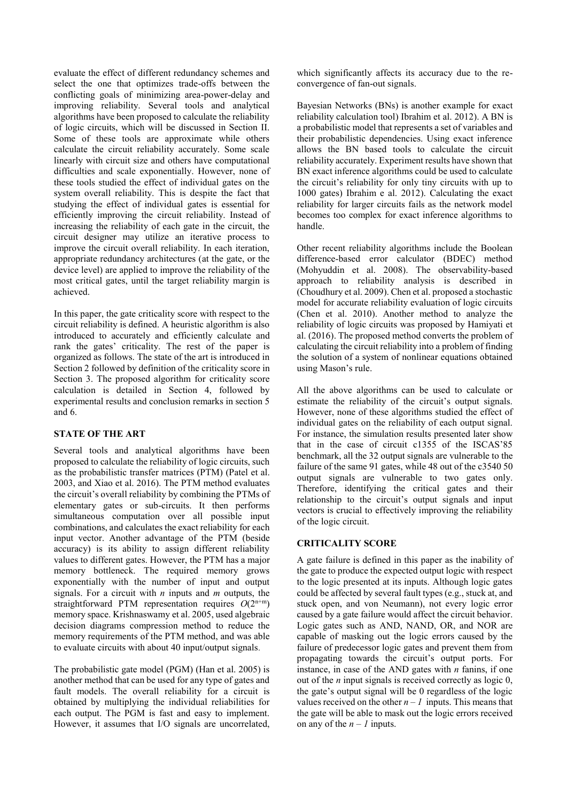evaluate the effect of different redundancy schemes and select the one that optimizes trade-offs between the conflicting goals of minimizing area-power-delay and improving reliability. Several tools and analytical algorithms have been proposed to calculate the reliability of logic circuits, which will be discussed in Section II. Some of these tools are approximate while others calculate the circuit reliability accurately. Some scale linearly with circuit size and others have computational difficulties and scale exponentially. However, none of these tools studied the effect of individual gates on the system overall reliability. This is despite the fact that studying the effect of individual gates is essential for efficiently improving the circuit reliability. Instead of increasing the reliability of each gate in the circuit, the circuit designer may utilize an iterative process to improve the circuit overall reliability. In each iteration, appropriate redundancy architectures (at the gate, or the device level) are applied to improve the reliability of the most critical gates, until the target reliability margin is achieved.

In this paper, the gate criticality score with respect to the circuit reliability is defined. A heuristic algorithm is also introduced to accurately and efficiently calculate and rank the gates' criticality. The rest of the paper is organized as follows. The state of the art is introduced in Section 2 followed by definition of the criticality score in Section 3. The proposed algorithm for criticality score calculation is detailed in Section 4, followed by experimental results and conclusion remarks in section 5 and 6.

## **STATE OF THE ART**

Several tools and analytical algorithms have been proposed to calculate the reliability of logic circuits, such as the probabilistic transfer matrices (PTM) (Patel et al. 2003, and Xiao et al. 2016). The PTM method evaluates the circuit's overall reliability by combining the PTMs of elementary gates or sub-circuits. It then performs simultaneous computation over all possible input combinations, and calculates the exact reliability for each input vector. Another advantage of the PTM (beside accuracy) is its ability to assign different reliability values to different gates. However, the PTM has a major memory bottleneck. The required memory grows exponentially with the number of input and output signals. For a circuit with *n* inputs and *m* outputs, the straightforward PTM representation requires  $O(2^{n+m})$ memory space. Krishnaswamy et al. 2005, used algebraic decision diagrams compression method to reduce the memory requirements of the PTM method, and was able to evaluate circuits with about 40 input/output signals.

The probabilistic gate model (PGM) (Han et al. 2005) is another method that can be used for any type of gates and fault models. The overall reliability for a circuit is obtained by multiplying the individual reliabilities for each output. The PGM is fast and easy to implement. However, it assumes that I/O signals are uncorrelated, which significantly affects its accuracy due to the reconvergence of fan-out signals.

Bayesian Networks (BNs) is another example for exact reliability calculation tool) Ibrahim et al. 2012). A BN is a probabilistic model that represents a set of variables and their probabilistic dependencies. Using exact inference allows the BN based tools to calculate the circuit reliability accurately. Experiment results have shown that BN exact inference algorithms could be used to calculate the circuit's reliability for only tiny circuits with up to 1000 gates) Ibrahim e al.  $2012$ ). Calculating the exact reliability for larger circuits fails as the network model becomes too complex for exact inference algorithms to handle.

Other recent reliability algorithms include the Boolean difference-based error calculator (BDEC) method (Mohyuddin et al. 2008). The observability-based approach to reliability analysis is described in (Choudhury et al. 2009). Chen et al. proposed a stochastic model for accurate reliability evaluation of logic circuits (Chen et al. 2010). Another method to analyze the reliability of logic circuits was proposed by Hamiyati et al. (2016). The proposed method converts the problem of calculating the circuit reliability into a problem of finding the solution of a system of nonlinear equations obtained using Mason's rule.

All the above algorithms can be used to calculate or estimate the reliability of the circuit's output signals. However, none of these algorithms studied the effect of individual gates on the reliability of each output signal. For instance, the simulation results presented later show that in the case of circuit c1355 of the ISCAS'85 benchmark, all the 32 output signals are vulnerable to the failure of the same 91 gates, while 48 out of the c3540 50 output signals are vulnerable to two gates only. Therefore, identifying the critical gates and their relationship to the circuit's output signals and input vectors is crucial to effectively improving the reliability of the logic circuit.

## **CRITICALITY SCORE**

A gate failure is defined in this paper as the inability of the gate to produce the expected output logic with respect to the logic presented at its inputs. Although logic gates could be affected by several fault types (e.g., stuck at, and stuck open, and von Neumann), not every logic error caused by a gate failure would affect the circuit behavior. Logic gates such as AND, NAND, OR, and NOR are capable of masking out the logic errors caused by the failure of predecessor logic gates and prevent them from propagating towards the circuit's output ports. For instance, in case of the AND gates with *n* fanins, if one out of the *n* input signals is received correctly as logic 0, the gate's output signal will be 0 regardless of the logic values received on the other  $n - 1$  inputs. This means that the gate will be able to mask out the logic errors received on any of the  $n - 1$  inputs.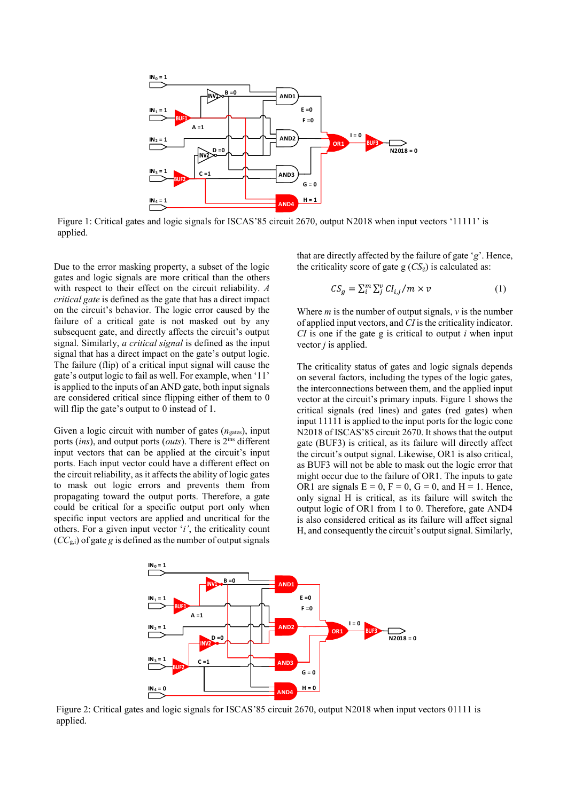

Figure 1: Critical gates and logic signals for ISCAS'85 circuit 2670, output N2018 when input vectors '11111' is applied.

Due to the error masking property, a subset of the logic gates and logic signals are more critical than the others with respect to their effect on the circuit reliability. *A critical gate* is defined as the gate that has a direct impact on the circuit's behavior. The logic error caused by the failure of a critical gate is not masked out by any subsequent gate, and directly affects the circuit's output signal. Similarly, *a critical signal* is defined as the input signal that has a direct impact on the gate's output logic. The failure (flip) of a critical input signal will cause the gate's output logic to fail as well. For example, when '11' is applied to the inputs of an AND gate, both input signals are considered critical since flipping either of them to 0 will flip the gate's output to 0 instead of 1.

Given a logic circuit with number of gates ( $n_{\text{gates}}$ ), input ports (*ins*), and output ports (*outs*). There is 2ins different input vectors that can be applied at the circuit's input ports. Each input vector could have a different effect on the circuit reliability, as it affects the ability of logic gates to mask out logic errors and prevents them from propagating toward the output ports. Therefore, a gate could be critical for a specific output port only when specific input vectors are applied and uncritical for the others. For a given input vector '*i'*, the criticality count (*CC*g,i) of gate *g* is defined as the number of output signals

that are directly affected by the failure of gate '*g*'. Hence, the criticality score of gate  $g(CS_g)$  is calculated as:

$$
CS_g = \sum_{i}^{m} \sum_{j}^{v} Cl_{i,j}/m \times v \tag{1}
$$

Where  $m$  is the number of output signals,  $v$  is the number of applied input vectors, and *CI* is the criticality indicator. *CI* is one if the gate g is critical to output *i* when input vector *j* is applied.

The criticality status of gates and logic signals depends on several factors, including the types of the logic gates, the interconnections between them, and the applied input vector at the circuit's primary inputs. Figure 1 shows the critical signals (red lines) and gates (red gates) when input 11111 is applied to the input ports for the logic cone N2018 of ISCAS'85 circuit 2670. It shows that the output gate (BUF3) is critical, as its failure will directly affect the circuit's output signal. Likewise, OR1 is also critical, as BUF3 will not be able to mask out the logic error that might occur due to the failure of OR1. The inputs to gate OR1 are signals  $E = 0$ ,  $F = 0$ ,  $G = 0$ , and  $H = 1$ . Hence, only signal H is critical, as its failure will switch the output logic of OR1 from 1 to 0. Therefore, gate AND4 is also considered critical as its failure will affect signal H, and consequently the circuit's output signal. Similarly,



Figure 2: Critical gates and logic signals for ISCAS'85 circuit 2670, output N2018 when input vectors 01111 is applied.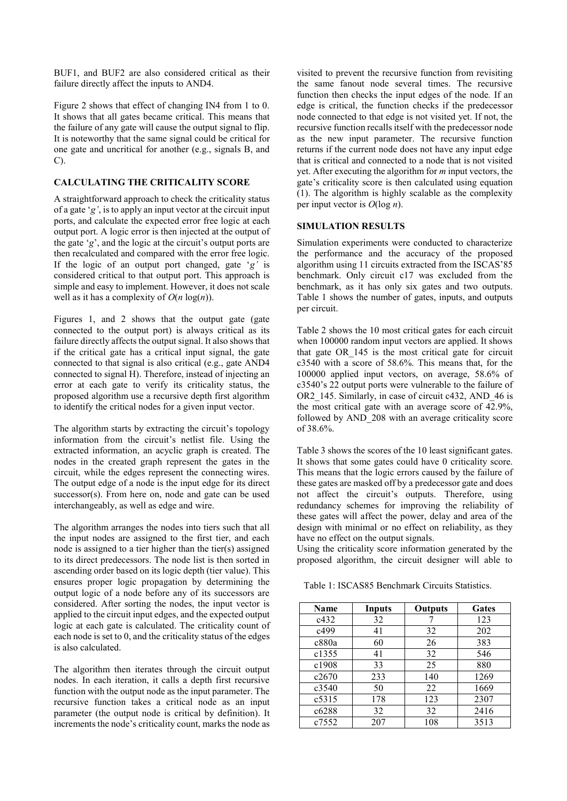BUF1, and BUF2 are also considered critical as their failure directly affect the inputs to AND4.

Figure 2 shows that effect of changing IN4 from 1 to 0. It shows that all gates became critical. This means that the failure of any gate will cause the output signal to flip. It is noteworthy that the same signal could be critical for one gate and uncritical for another (e.g., signals B, and C).

## **CALCULATING THE CRITICALITY SCORE**

A straightforward approach to check the criticality status of a gate '*g'*, is to apply an input vector at the circuit input ports, and calculate the expected error free logic at each output port. A logic error is then injected at the output of the gate '*g*', and the logic at the circuit's output ports are then recalculated and compared with the error free logic. If the logic of an output port changed, gate '*g'* is considered critical to that output port. This approach is simple and easy to implement. However, it does not scale well as it has a complexity of  $O(n \log(n))$ .

Figures 1, and 2 shows that the output gate (gate connected to the output port) is always critical as its failure directly affects the output signal. It also shows that if the critical gate has a critical input signal, the gate connected to that signal is also critical (e.g., gate AND4 connected to signal H). Therefore, instead of injecting an error at each gate to verify its criticality status, the proposed algorithm use a recursive depth first algorithm to identify the critical nodes for a given input vector.

The algorithm starts by extracting the circuit's topology information from the circuit's netlist file. Using the extracted information, an acyclic graph is created. The nodes in the created graph represent the gates in the circuit, while the edges represent the connecting wires. The output edge of a node is the input edge for its direct successor(s). From here on, node and gate can be used interchangeably, as well as edge and wire.

The algorithm arranges the nodes into tiers such that all the input nodes are assigned to the first tier, and each node is assigned to a tier higher than the tier(s) assigned to its direct predecessors. The node list is then sorted in ascending order based on its logic depth (tier value). This ensures proper logic propagation by determining the output logic of a node before any of its successors are considered. After sorting the nodes, the input vector is applied to the circuit input edges, and the expected output logic at each gate is calculated. The criticality count of each node is set to 0, and the criticality status of the edges is also calculated.

The algorithm then iterates through the circuit output nodes. In each iteration, it calls a depth first recursive function with the output node as the input parameter. The recursive function takes a critical node as an input parameter (the output node is critical by definition). It increments the node's criticality count, marks the node as visited to prevent the recursive function from revisiting the same fanout node several times. The recursive function then checks the input edges of the node*.* If an edge is critical, the function checks if the predecessor node connected to that edge is not visited yet. If not, the recursive function recalls itself with the predecessor node as the new input parameter. The recursive function returns if the current node does not have any input edge that is critical and connected to a node that is not visited yet. After executing the algorithm for *m* input vectors, the gate's criticality score is then calculated using equation (1). The algorithm is highly scalable as the complexity per input vector is *O*(log *n*).

## **SIMULATION RESULTS**

Simulation experiments were conducted to characterize the performance and the accuracy of the proposed algorithm using 11 circuits extracted from the ISCAS'85 benchmark. Only circuit c17 was excluded from the benchmark, as it has only six gates and two outputs. Table 1 shows the number of gates, inputs, and outputs per circuit.

Table 2 shows the 10 most critical gates for each circuit when 100000 random input vectors are applied. It shows that gate OR\_145 is the most critical gate for circuit c3540 with a score of 58.6%. This means that, for the 100000 applied input vectors, on average, 58.6% of c3540's 22 output ports were vulnerable to the failure of OR2 145. Similarly, in case of circuit c432, AND 46 is the most critical gate with an average score of 42.9%, followed by AND\_208 with an average criticality score of 38.6%.

Table 3 shows the scores of the 10 least significant gates. It shows that some gates could have 0 criticality score. This means that the logic errors caused by the failure of these gates are masked off by a predecessor gate and does not affect the circuit's outputs. Therefore, using redundancy schemes for improving the reliability of these gates will affect the power, delay and area of the design with minimal or no effect on reliability, as they have no effect on the output signals.

Using the criticality score information generated by the proposed algorithm, the circuit designer will able to

Table 1: ISCAS85 Benchmark Circuits Statistics.

| Name  | Inputs | <b>Outputs</b> | <b>Gates</b> |  |  |
|-------|--------|----------------|--------------|--|--|
| c432  | 32     |                | 123          |  |  |
| c499  | 41     | 32             | 202          |  |  |
| c880a | 60     | 26             | 383          |  |  |
| c1355 | 41     | 32             | 546          |  |  |
| c1908 | 33     | 25             | 880          |  |  |
| c2670 | 233    | 140            | 1269         |  |  |
| c3540 | 50     | 22             | 1669         |  |  |
| c5315 | 178    | 123            | 2307         |  |  |
| c6288 | 32     | 32             | 2416         |  |  |
| c7552 | 207    | 108            | 3513         |  |  |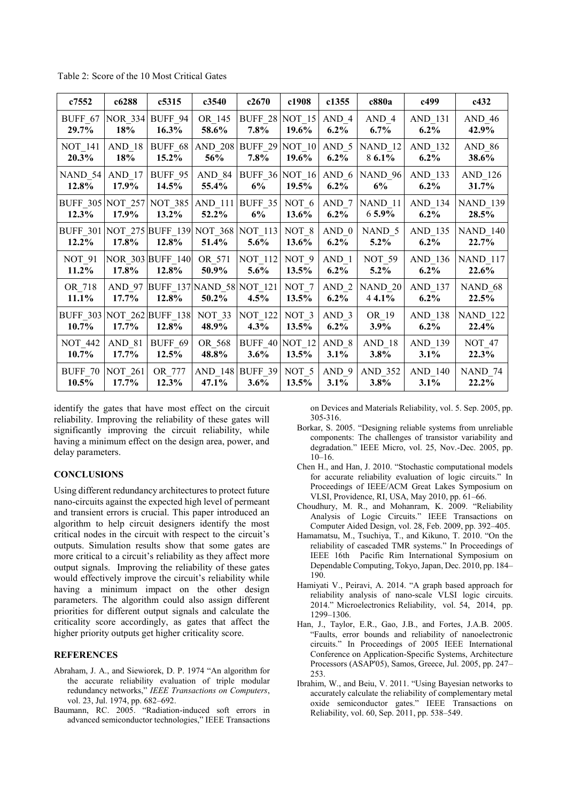Table 2: Score of the 10 Most Critical Gates

| c7552                                                 | c6288                   | c5315                                    | c3540                              | c2670                            | c1908                     | c1355              | c880a                                    | c499               | c432                     |
|-------------------------------------------------------|-------------------------|------------------------------------------|------------------------------------|----------------------------------|---------------------------|--------------------|------------------------------------------|--------------------|--------------------------|
| BUFF 67<br>29.7%                                      | 18%                     | <b>NOR 334 BUFF 94</b><br>$16.3\%$       | OR 145<br>58.6%                    | <b>BUFF 28 NOT 15</b><br>$7.8\%$ | 19.6%                     | AND 4<br>$6.2\%$   | AND 4<br>$6.7\%$                         | AND 131<br>$6.2\%$ | $AND_46$<br>42.9%        |
| <b>NOT 141</b><br>$20.3\%$                            | AND 18<br>18%           | $15.2\%$                                 | BUFF_68   AND_208   BUFF_29<br>56% | $7.8\%$                          | NOT $10$ AND 5<br>19.6%   | $6.2\%$            | NAND <sub>12</sub><br>8 6.1%             | AND 132<br>$6.2\%$ | <b>AND 86</b><br>38.6%   |
| NAND 54<br>$12.8\%$                                   | AND 17<br>17.9%         | BUFF_95<br>$14.5\%$                      | AND_84<br>55.4%                    | 6%                               | $19.5\%$                  | $6.2\%$            | BUFF_36 NOT_16   AND_6   NAND_96  <br>6% | AND_133<br>$6.2\%$ | AND 126<br>31.7%         |
| <b>BUFF 305 NOT 257</b><br>$12.3\%$                   | 17.9%                   | NOT 385<br>$13.2\%$                      | AND 111 BUFF 35<br>52.2%           | $6\%$                            | NOT 6<br>13.6%            | $AND_7$<br>$6.2\%$ | NAND <sub>11</sub><br>$65.9\%$           | AND 134<br>$6.2\%$ | <b>NAND_139</b><br>28.5% |
| BUFF 301 NOT 275 BUFF 139 NOT 368 NOT 113<br>$12.2\%$ | 17.8%                   | 12.8%                                    | 51.4%                              | $5.6\%$                          | NOT 8<br>$13.6\%$         | AND 0<br>$6.2\%$   | NAND 5<br>$5.2\%$                        | AND_135<br>$6.2\%$ | <b>NAND_140</b><br>22.7% |
| <b>NOT 91</b><br>$11.2\%$                             | 17.8%                   | NOR 303 BUFF 140<br>12.8%                | OR 571<br>50.9%                    | NOT 112<br>$5.6\%$               | NOT <sub>9</sub><br>13.5% | AND 1<br>$6.2\%$   | NOT 59<br>$5.2\%$                        | AND_136<br>$6.2\%$ | <b>NAND 117</b><br>22.6% |
| OR 718<br>$11.1\%$                                    | $17.7\%$                | AND 97 BUFF 137 NAND 58 NOT 121<br>12.8% | $50.2\%$                           | $4.5\%$                          | NOT 7<br>13.5%            | AND 2<br>$6.2\%$   | NAND 20<br>44.1%                         | AND 137<br>$6.2\%$ | NAND 68<br>22.5%         |
| BUFF 303 NOT 262 BUFF 138<br>$10.7\%$                 | 17.7%                   | 12.8%                                    | NOT 33<br>48.9%                    | <b>NOT 122</b><br>4.3%           | NOT 3<br>13.5%            | $AND_3$<br>$6.2\%$ | OR 19<br>$3.9\%$                         | AND 138<br>$6.2\%$ | <b>NAND 122</b><br>22.4% |
| <b>NOT 442</b><br>$10.7\%$                            | AND 81<br>17.7%         | <b>BUFF 69</b><br>12.5%                  | OR 568<br>48.8%                    | BUFF $40$ NOT 12<br>$3.6\%$      | 13.5%                     | AND 8<br>$3.1\%$   | AND 18<br>$3.8\%$                        | AND_139<br>$3.1\%$ | NOT 47<br>22.3%          |
| BUFF 70<br>10.5%                                      | <b>NOT 261</b><br>17.7% | OR 777<br>12.3%                          | AND 148 BUFF 39<br>47.1%           | 3.6%                             | NOT 5<br>13.5%            | AND 9<br>$3.1\%$   | AND 352<br>3.8%                          | AND 140<br>3.1%    | NAND 74<br>22.2%         |

identify the gates that have most effect on the circuit reliability. Improving the reliability of these gates will significantly improving the circuit reliability, while having a minimum effect on the design area, power, and delay parameters.

## **CONCLUSIONS**

Using different redundancy architectures to protect future nano-circuits against the expected high level of permeant and transient errors is crucial. This paper introduced an algorithm to help circuit designers identify the most critical nodes in the circuit with respect to the circuit's outputs. Simulation results show that some gates are more critical to a circuit's reliability as they affect more output signals. Improving the reliability of these gates would effectively improve the circuit's reliability while having a minimum impact on the other design parameters. The algorithm could also assign different priorities for different output signals and calculate the criticality score accordingly, as gates that affect the higher priority outputs get higher criticality score.

#### **REFERENCES**

- Abraham, J. A., and Siewiorek, D. P. 1974 "An algorithm for the accurate reliability evaluation of triple modular redundancy networks," *IEEE Transactions on Computers*, vol. 23, Jul. 1974, pp. 682–692.
- Baumann, RC. 2005. "Radiation-induced soft errors in advanced semiconductor technologies," IEEE Transactions

on Devices and Materials Reliability, vol. 5. Sep. 2005, pp. 305-316.

- Borkar, S. 2005. "Designing reliable systems from unreliable components: The challenges of transistor variability and degradation." IEEE Micro, vol. 25, Nov.-Dec. 2005, pp. 10–16.
- Chen H., and Han, J. 2010. "Stochastic computational models for accurate reliability evaluation of logic circuits." In Proceedings of IEEE/ACM Great Lakes Symposium on VLSI, Providence, RI, USA, May 2010, pp. 61–66.
- Choudhury, M. R., and Mohanram, K. 2009. "Reliability Analysis of Logic Circuits." IEEE Transactions on Computer Aided Design, vol. 28, Feb. 2009, pp. 392–405.
- Hamamatsu, M., Tsuchiya, T., and Kikuno, T. 2010. "On the reliability of cascaded TMR systems." In Proceedings of IEEE 16th Pacific Rim International Symposium on Dependable Computing, Tokyo, Japan, Dec. 2010, pp. 184– 190.
- Hamiyati V., Peiravi, A. 2014. "A graph based approach for reliability analysis of nano-scale VLSI logic circuits. 2014." Microelectronics Reliability, vol. 54, 2014, pp. 1299–1306.
- Han, J., Taylor, E.R., Gao, J.B., and Fortes, J.A.B. 2005. "Faults, error bounds and reliability of nanoelectronic circuits." In Proceedings of 2005 IEEE International Conference on Application-Specific Systems, Architecture Processors (ASAP'05), Samos, Greece, Jul. 2005, pp. 247– 253.
- Ibrahim, W., and Beiu, V. 2011. "Using Bayesian networks to accurately calculate the reliability of complementary metal oxide semiconductor gates." IEEE Transactions on Reliability, vol. 60, Sep. 2011, pp. 538–549.